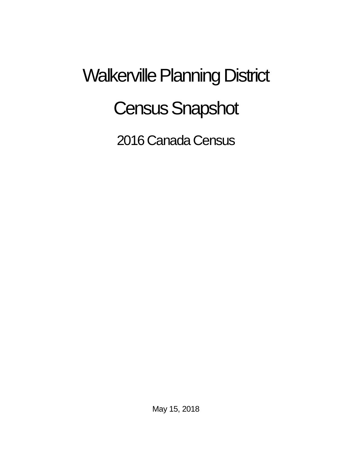## Walkerville Planning District Census Snapshot

2016 Canada Census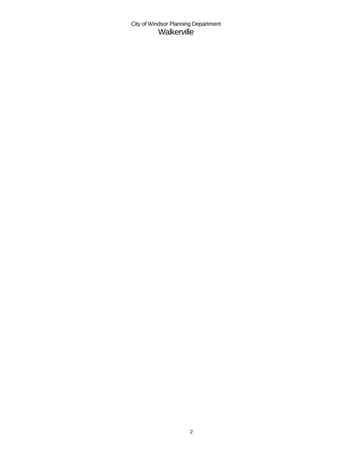City of Windsor Planning Department **Walkerville**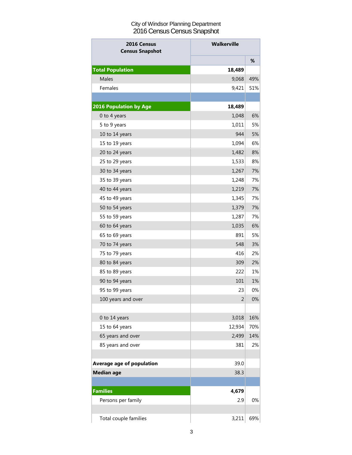## City of Windsor Planning Department 2016 Census Census Snapshot

| <b>Walkerville</b><br>2016 Census<br><b>Census Snapshot</b> |                |       |
|-------------------------------------------------------------|----------------|-------|
|                                                             |                | %     |
| <b>Total Population</b>                                     | 18,489         |       |
| Males                                                       | 9,068          | 49%   |
| Females                                                     | 9,421          | 51%   |
|                                                             |                |       |
| <b>2016 Population by Age</b>                               | 18,489         |       |
| 0 to 4 years                                                | 1,048          | 6%    |
| 5 to 9 years                                                | 1,011          | 5%    |
| 10 to 14 years                                              | 944            | 5%    |
| 15 to 19 years                                              | 1,094          | 6%    |
| 20 to 24 years                                              | 1,482          | 8%    |
| 25 to 29 years                                              | 1,533          | 8%    |
| 30 to 34 years                                              | 1,267          | 7%    |
| 35 to 39 years                                              | 1,248          | 7%    |
| 40 to 44 years                                              | 1,219          | 7%    |
| 45 to 49 years                                              | 1,345          | 7%    |
| 50 to 54 years                                              | 1,379          | 7%    |
| 55 to 59 years                                              | 1,287          | 7%    |
| 60 to 64 years                                              | 1,035          | 6%    |
| 65 to 69 years                                              | 891            | 5%    |
| 70 to 74 years                                              | 548            | 3%    |
| 75 to 79 years                                              | 416            | 2%    |
| 80 to 84 years                                              | 309            | 2%    |
| 85 to 89 years                                              | 222            | 1%    |
| 90 to 94 years                                              | 101            | 1%    |
| 95 to 99 years                                              | 23             | 0%    |
| 100 years and over                                          | $\overline{c}$ | $0\%$ |
| 0 to 14 years                                               | 3,018          | 16%   |
| 15 to 64 years                                              | 12,934         | 70%   |
| 65 years and over                                           | 2,499          | 14%   |
| 85 years and over                                           | 381            | 2%    |
|                                                             |                |       |
| Average age of population                                   | 39.0           |       |
| <b>Median age</b>                                           | 38.3           |       |
|                                                             |                |       |
| <b>Families</b>                                             | 4,679          |       |
| Persons per family                                          | 2.9            | 0%    |
| Total couple families                                       | 3,211          | 69%   |